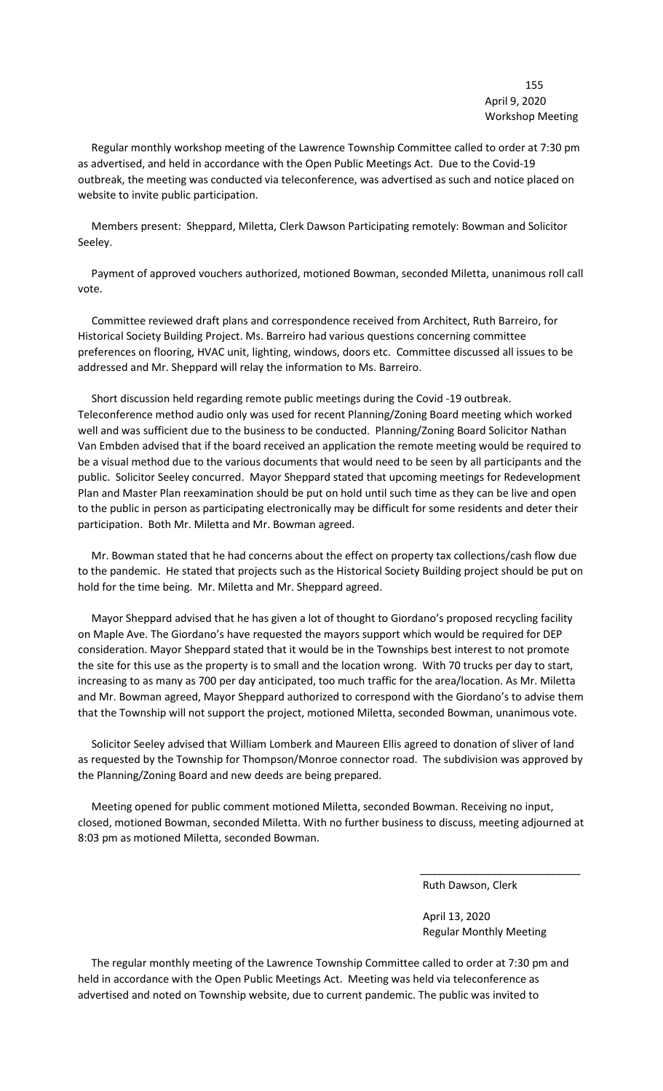155 April 9, 2020 Workshop Meeting

 Regular monthly workshop meeting of the Lawrence Township Committee called to order at 7:30 pm as advertised, and held in accordance with the Open Public Meetings Act. Due to the Covid-19 outbreak, the meeting was conducted via teleconference, was advertised as such and notice placed on website to invite public participation.

 Members present: Sheppard, Miletta, Clerk Dawson Participating remotely: Bowman and Solicitor Seeley.

 Payment of approved vouchers authorized, motioned Bowman, seconded Miletta, unanimous roll call vote.

 Committee reviewed draft plans and correspondence received from Architect, Ruth Barreiro, for Historical Society Building Project. Ms. Barreiro had various questions concerning committee preferences on flooring, HVAC unit, lighting, windows, doors etc. Committee discussed all issues to be addressed and Mr. Sheppard will relay the information to Ms. Barreiro.

 Short discussion held regarding remote public meetings during the Covid -19 outbreak. Teleconference method audio only was used for recent Planning/Zoning Board meeting which worked well and was sufficient due to the business to be conducted. Planning/Zoning Board Solicitor Nathan Van Embden advised that if the board received an application the remote meeting would be required to be a visual method due to the various documents that would need to be seen by all participants and the public. Solicitor Seeley concurred. Mayor Sheppard stated that upcoming meetings for Redevelopment Plan and Master Plan reexamination should be put on hold until such time as they can be live and open to the public in person as participating electronically may be difficult for some residents and deter their participation. Both Mr. Miletta and Mr. Bowman agreed.

 Mr. Bowman stated that he had concerns about the effect on property tax collections/cash flow due to the pandemic. He stated that projects such as the Historical Society Building project should be put on hold for the time being. Mr. Miletta and Mr. Sheppard agreed.

 Mayor Sheppard advised that he has given a lot of thought to Giordano's proposed recycling facility on Maple Ave. The Giordano's have requested the mayors support which would be required for DEP consideration. Mayor Sheppard stated that it would be in the Townships best interest to not promote the site for this use as the property is to small and the location wrong. With 70 trucks per day to start, increasing to as many as 700 per day anticipated, too much traffic for the area/location. As Mr. Miletta and Mr. Bowman agreed, Mayor Sheppard authorized to correspond with the Giordano's to advise them that the Township will not support the project, motioned Miletta, seconded Bowman, unanimous vote.

 Solicitor Seeley advised that William Lomberk and Maureen Ellis agreed to donation of sliver of land as requested by the Township for Thompson/Monroe connector road. The subdivision was approved by the Planning/Zoning Board and new deeds are being prepared.

 Meeting opened for public comment motioned Miletta, seconded Bowman. Receiving no input, closed, motioned Bowman, seconded Miletta. With no further business to discuss, meeting adjourned at 8:03 pm as motioned Miletta, seconded Bowman.

 $\overline{\phantom{a}}$  , and the contract of the contract of the contract of the contract of the contract of the contract of the contract of the contract of the contract of the contract of the contract of the contract of the contrac

Ruth Dawson, Clerk

 April 13, 2020 Regular Monthly Meeting

 The regular monthly meeting of the Lawrence Township Committee called to order at 7:30 pm and held in accordance with the Open Public Meetings Act. Meeting was held via teleconference as advertised and noted on Township website, due to current pandemic. The public was invited to